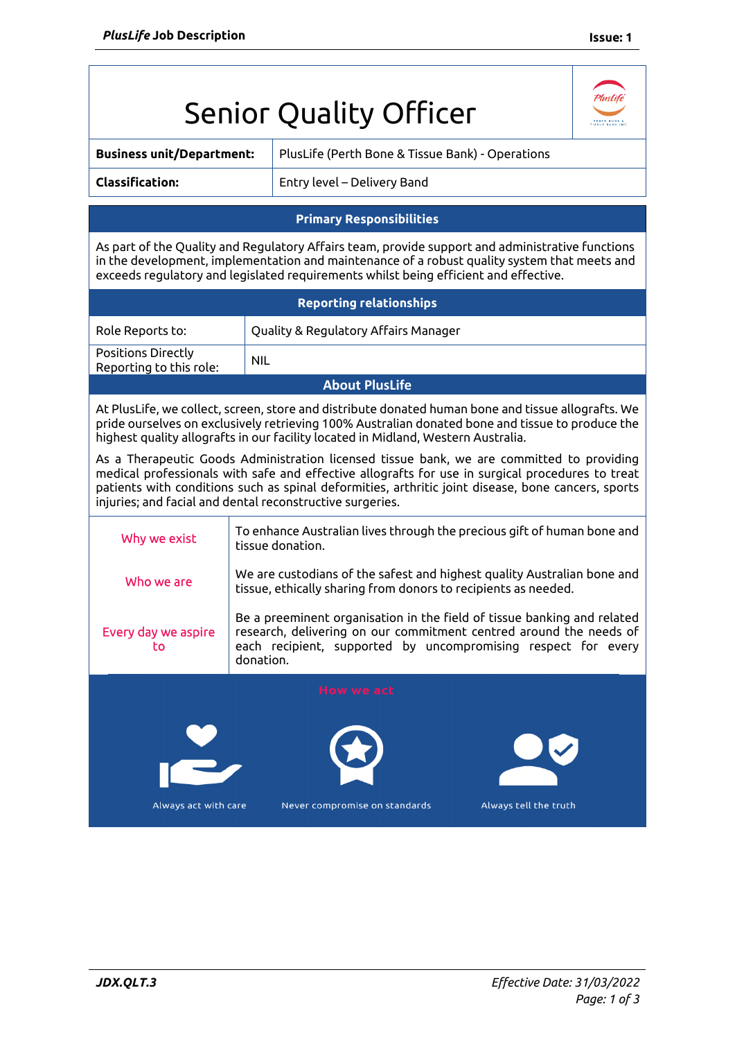|                                                                                                                                                                                                                                                                                                                                                                  |                                                                                             | <b>Senior Quality Officer</b>                                                                                                                                                                                  |  |  |
|------------------------------------------------------------------------------------------------------------------------------------------------------------------------------------------------------------------------------------------------------------------------------------------------------------------------------------------------------------------|---------------------------------------------------------------------------------------------|----------------------------------------------------------------------------------------------------------------------------------------------------------------------------------------------------------------|--|--|
| <b>Business unit/Department:</b>                                                                                                                                                                                                                                                                                                                                 |                                                                                             | PlusLife (Perth Bone & Tissue Bank) - Operations                                                                                                                                                               |  |  |
| <b>Classification:</b>                                                                                                                                                                                                                                                                                                                                           |                                                                                             | Entry level – Delivery Band                                                                                                                                                                                    |  |  |
| <b>Primary Responsibilities</b>                                                                                                                                                                                                                                                                                                                                  |                                                                                             |                                                                                                                                                                                                                |  |  |
| As part of the Quality and Regulatory Affairs team, provide support and administrative functions<br>in the development, implementation and maintenance of a robust quality system that meets and<br>exceeds regulatory and legislated requirements whilst being efficient and effective.                                                                         |                                                                                             |                                                                                                                                                                                                                |  |  |
| <b>Reporting relationships</b>                                                                                                                                                                                                                                                                                                                                   |                                                                                             |                                                                                                                                                                                                                |  |  |
| Role Reports to:                                                                                                                                                                                                                                                                                                                                                 |                                                                                             | Quality & Regulatory Affairs Manager                                                                                                                                                                           |  |  |
| Positions Directly<br>Reporting to this role:                                                                                                                                                                                                                                                                                                                    | <b>NIL</b>                                                                                  |                                                                                                                                                                                                                |  |  |
| <b>About PlusLife</b>                                                                                                                                                                                                                                                                                                                                            |                                                                                             |                                                                                                                                                                                                                |  |  |
| At PlusLife, we collect, screen, store and distribute donated human bone and tissue allografts. We<br>pride ourselves on exclusively retrieving 100% Australian donated bone and tissue to produce the<br>highest quality allografts in our facility located in Midland, Western Australia.                                                                      |                                                                                             |                                                                                                                                                                                                                |  |  |
| As a Therapeutic Goods Administration licensed tissue bank, we are committed to providing<br>medical professionals with safe and effective allografts for use in surgical procedures to treat<br>patients with conditions such as spinal deformities, arthritic joint disease, bone cancers, sports<br>injuries; and facial and dental reconstructive surgeries. |                                                                                             |                                                                                                                                                                                                                |  |  |
| Why we exist                                                                                                                                                                                                                                                                                                                                                     | To enhance Australian lives through the precious gift of human bone and<br>tissue donation. |                                                                                                                                                                                                                |  |  |
| Who we are                                                                                                                                                                                                                                                                                                                                                       |                                                                                             | We are custodians of the safest and highest quality Australian bone and<br>tissue, ethically sharing from donors to recipients as needed.                                                                      |  |  |
| Every day we aspire<br>to                                                                                                                                                                                                                                                                                                                                        | donation.                                                                                   | Be a preeminent organisation in the field of tissue banking and related<br>research, delivering on our commitment centred around the needs of<br>each recipient, supported by uncompromising respect for every |  |  |
| <b>How we act</b>                                                                                                                                                                                                                                                                                                                                                |                                                                                             |                                                                                                                                                                                                                |  |  |
| Always tell the truth<br>Always act with care<br>Never compromise on standards                                                                                                                                                                                                                                                                                   |                                                                                             |                                                                                                                                                                                                                |  |  |